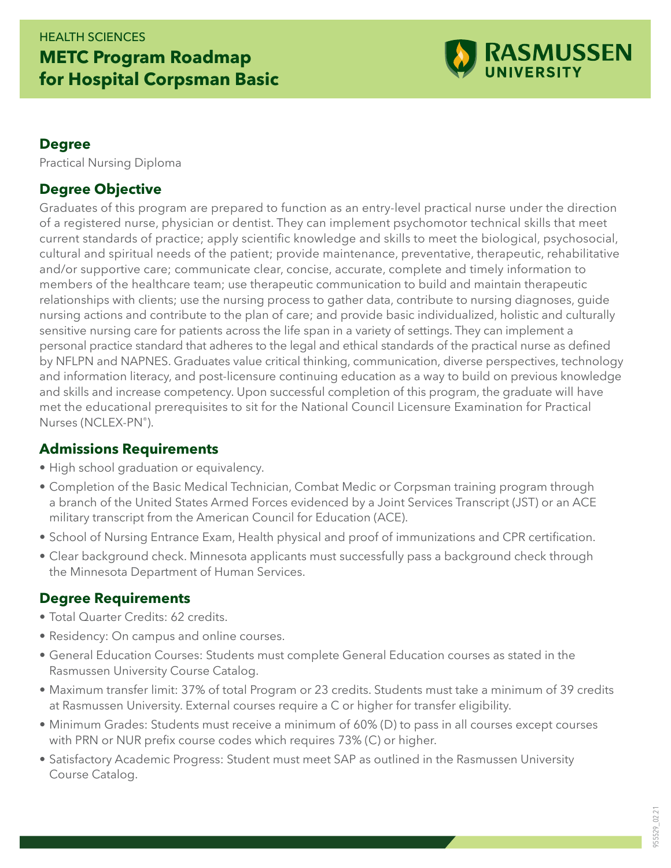## HEALTH SCIENCES **METC Program Roadmap for Hospital Corpsman Basic**



#### **Degree**

Practical Nursing Diploma

### **Degree Objective**

Graduates of this program are prepared to function as an entry-level practical nurse under the direction of a registered nurse, physician or dentist. They can implement psychomotor technical skills that meet current standards of practice; apply scientific knowledge and skills to meet the biological, psychosocial, cultural and spiritual needs of the patient; provide maintenance, preventative, therapeutic, rehabilitative and/or supportive care; communicate clear, concise, accurate, complete and timely information to members of the healthcare team; use therapeutic communication to build and maintain therapeutic relationships with clients; use the nursing process to gather data, contribute to nursing diagnoses, guide nursing actions and contribute to the plan of care; and provide basic individualized, holistic and culturally sensitive nursing care for patients across the life span in a variety of settings. They can implement a personal practice standard that adheres to the legal and ethical standards of the practical nurse as defined by NFLPN and NAPNES. Graduates value critical thinking, communication, diverse perspectives, technology and information literacy, and post-licensure continuing education as a way to build on previous knowledge and skills and increase competency. Upon successful completion of this program, the graduate will have met the educational prerequisites to sit for the National Council Licensure Examination for Practical Nurses (NCLEX-PN®).

#### **Admissions Requirements**

- High school graduation or equivalency.
- Completion of the Basic Medical Technician, Combat Medic or Corpsman training program through a branch of the United States Armed Forces evidenced by a Joint Services Transcript (JST) or an ACE military transcript from the American Council for Education (ACE).
- School of Nursing Entrance Exam, Health physical and proof of immunizations and CPR certification.
- Clear background check. Minnesota applicants must successfully pass a background check through the Minnesota Department of Human Services.

## **Degree Requirements**

- Total Quarter Credits: 62 credits.
- Residency: On campus and online courses.
- General Education Courses: Students must complete General Education courses as stated in the Rasmussen University Course Catalog.
- Maximum transfer limit: 37% of total Program or 23 credits. Students must take a minimum of 39 credits at Rasmussen University. External courses require a C or higher for transfer eligibility.
- Minimum Grades: Students must receive a minimum of 60% (D) to pass in all courses except courses with PRN or NUR prefix course codes which requires 73% (C) or higher.
- Satisfactory Academic Progress: Student must meet SAP as outlined in the Rasmussen University Course Catalog.